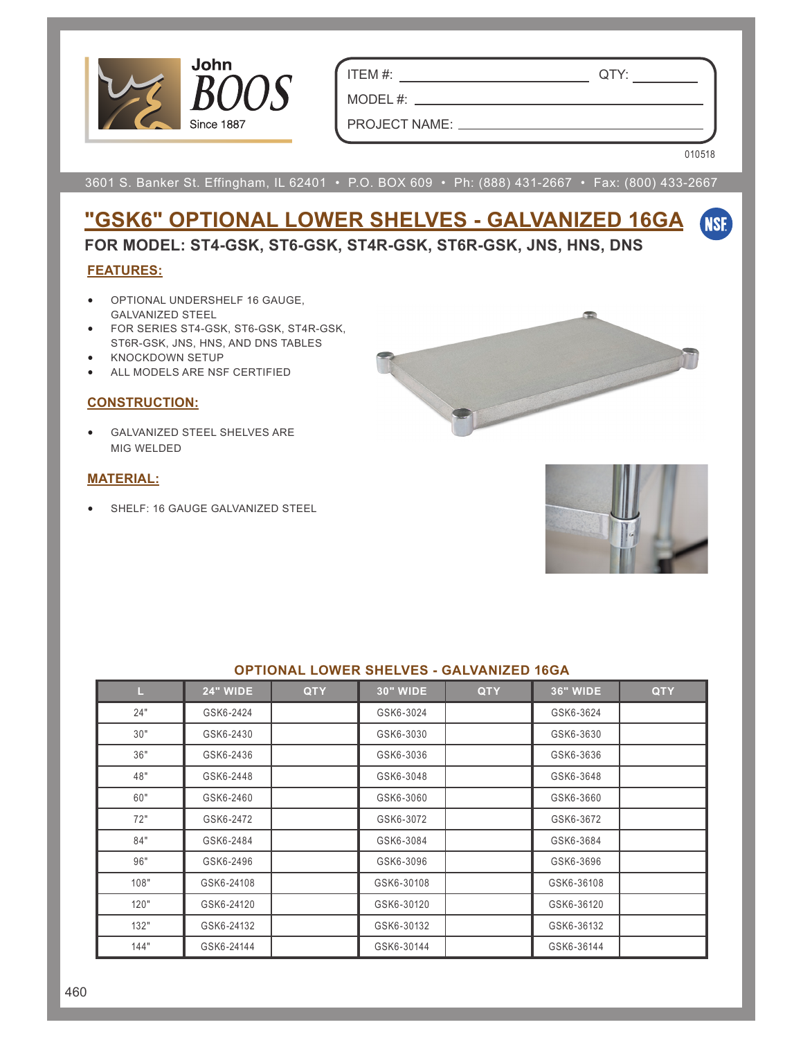

ITEM #: QTY:

MODEL #:  $\_\_$ 

PROJECT NAME:

010518

**ENSE** 

3601 S. Banker St. Effingham, IL 62401 • P.O. BOX 609 • Ph: (888) 431-2667 • Fax: (800) 433-2667

# **"GSK6" OPTIONAL LOWER SHELVES - GALVANIZED 16GA**

**FOR MODEL: ST4-GSK, ST6-GSK, ST4R-GSK, ST6R-GSK, JNS, HNS, DNS**

### **FEATURES:**

- OPTIONAL UNDERSHELF 16 GAUGE, GALVANIZED STEEL
- FOR SERIES ST4-GSK, ST6-GSK, ST4R-GSK, ST6R-GSK, JNS, HNS, AND DNS TABLES
- KNOCKDOWN SETUP
- ALL MODELS ARE NSF CERTIFIED

#### **CONSTRUCTION:**

GALVANIZED STEEL SHELVES ARE MIG WELDED

#### **MATERIAL:**

SHELF: 16 GAUGE GALVANIZED STEEL





| OPTIONAL LOWER SHELVES - GALVANIZED 16GA |                 |            |                 |            |                 |            |  |  |  |  |
|------------------------------------------|-----------------|------------|-----------------|------------|-----------------|------------|--|--|--|--|
| ш                                        | <b>24" WIDE</b> | <b>QTY</b> | <b>30" WIDE</b> | <b>QTY</b> | <b>36" WIDE</b> | <b>QTY</b> |  |  |  |  |
| 24"                                      | GSK6-2424       |            | GSK6-3024       |            | GSK6-3624       |            |  |  |  |  |
| 30"                                      | GSK6-2430       |            | GSK6-3030       |            | GSK6-3630       |            |  |  |  |  |
| 36"                                      | GSK6-2436       |            | GSK6-3036       |            | GSK6-3636       |            |  |  |  |  |
| 48"                                      | GSK6-2448       |            | GSK6-3048       |            | GSK6-3648       |            |  |  |  |  |
| 60"                                      | GSK6-2460       |            | GSK6-3060       |            | GSK6-3660       |            |  |  |  |  |
| 72"                                      | GSK6-2472       |            | GSK6-3072       |            | GSK6-3672       |            |  |  |  |  |
| 84"                                      | GSK6-2484       |            | GSK6-3084       |            | GSK6-3684       |            |  |  |  |  |
| 96"                                      | GSK6-2496       |            | GSK6-3096       |            | GSK6-3696       |            |  |  |  |  |
| 108"                                     | GSK6-24108      |            | GSK6-30108      |            | GSK6-36108      |            |  |  |  |  |
| 120"                                     | GSK6-24120      |            | GSK6-30120      |            | GSK6-36120      |            |  |  |  |  |
| 132"                                     | GSK6-24132      |            | GSK6-30132      |            | GSK6-36132      |            |  |  |  |  |
| 144"                                     | GSK6-24144      |            | GSK6-30144      |            | GSK6-36144      |            |  |  |  |  |

#### **OPTIONAL LOWER SHELVES - GALVANIZED 16GA**